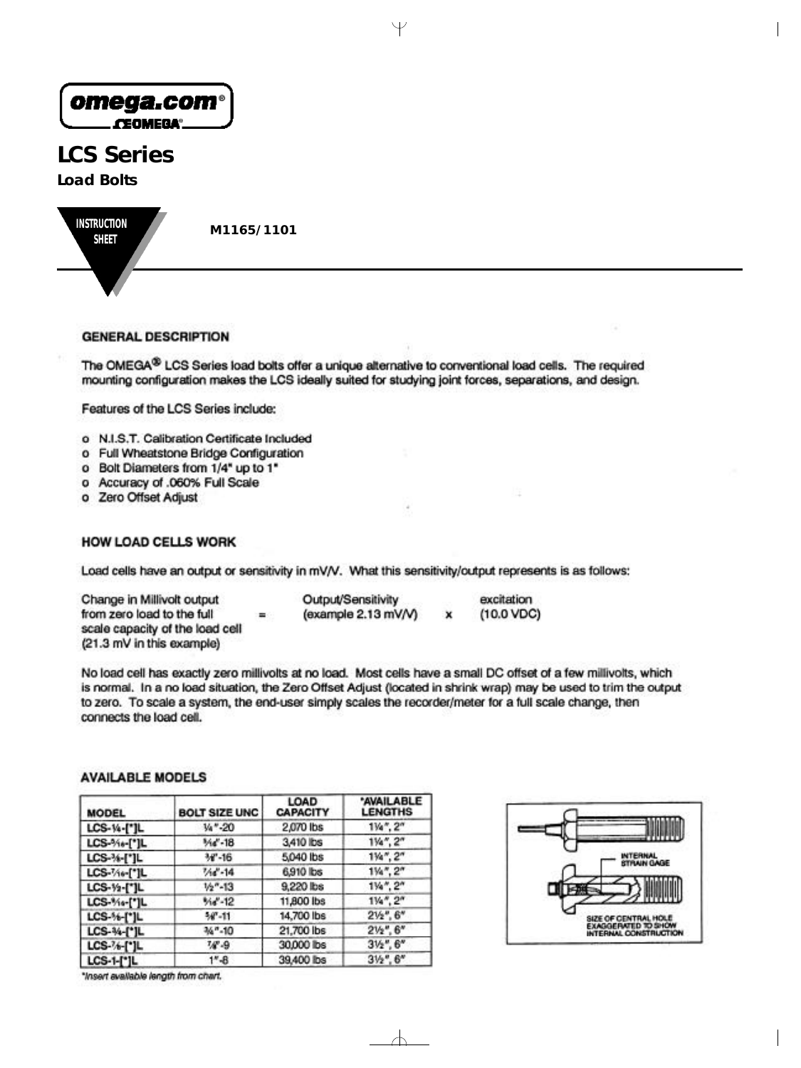| omega.com®<br>CEOMEGA®                 |            |  |
|----------------------------------------|------------|--|
| <b>LCS Series</b><br><b>Load Bolts</b> |            |  |
| <b>INSTRUCTION</b><br><b>SHEET</b>     | M1165/1101 |  |

# **GENERAL DESCRIPTION**

The OMEGA® LCS Series load bolts offer a unique alternative to conventional load cells. The required mounting configuration makes the LCS ideally suited for studying joint forces, separations, and design.

Features of the LCS Series include:

- o N.I.S.T. Calibration Certificate Included
- o Full Wheatstone Bridge Configuration
- o Bolt Diameters from 1/4" up to 1"
- o Accuracy of .060% Full Scale
- o Zero Offset Adjust

# **HOW LOAD CELLS WORK**

Load cells have an output or sensitivity in mV/V. What this sensitivity/output represents is as follows:

Change in Millivolt output from zero load to the full  $=$ scale capacity of the load cell (21.3 mV in this example)

Output/Sensitivity excitation (example 2.13 mV/V)  $(10.0 VDC)$ ×

No load cell has exactly zero millivolts at no load. Most cells have a small DC offset of a few millivolts, which is normal. In a no load situation, the Zero Offset Adjust (located in shrink wrap) may be used to trim the output to zero. To scale a system, the end-user simply scales the recorder/meter for a full scale change, then connects the load cell.

 $\forall$ 

# **AVAILABLE MODELS**

| <b>MODEL</b>      | <b>BOLT SIZE UNC</b> | LOAD<br><b>CAPACITY</b> | <b>AVAILABLE</b><br><b>LENGTHS</b> |
|-------------------|----------------------|-------------------------|------------------------------------|
| LCS-14-["]L       | Va"-20               | 2,070 lbs               | $1\%$ ", $2"$                      |
| LCS-%+[*]L        | %ď-18                | 3,410 lbs               | $1\frac{1}{2}$ , $2n$              |
| LCS-34-[*]L       | $W-16$               | 5,040 lbs               | $1\%$ ", $2$ "                     |
| LCS-74e-["]L      | $14 - 14$            | 6,910 lbs               | $1\%$ ", $2''$                     |
| LCS-1/2-["]L      | $1/2" - 13$          | 9,220 lbs               | $1\%$ ", $2''$                     |
| LCS-%+["]L        | $% -12$              | 11,800 lbs              | $1\%$ ", $2''$                     |
| LCS-%-[*]L        | $-11$                | 14,700 lbs              | $2\frac{1}{2}$ , 6*                |
| LCS-34-[*]L       | 34"-10               | 21,700 lbs              | $2\frac{1}{2}$ , $6''$             |
| LCS-76-[*]L       | W-9                  | 30,000 lbs              | $3\frac{1}{2}$ , $6''$             |
| <b>LCS-1-[*]L</b> | $1 - 8$              | 39,400 lbs              | $3\frac{1}{2}$ , $6''$             |

\*Insert available length from chart.



 $\forall$